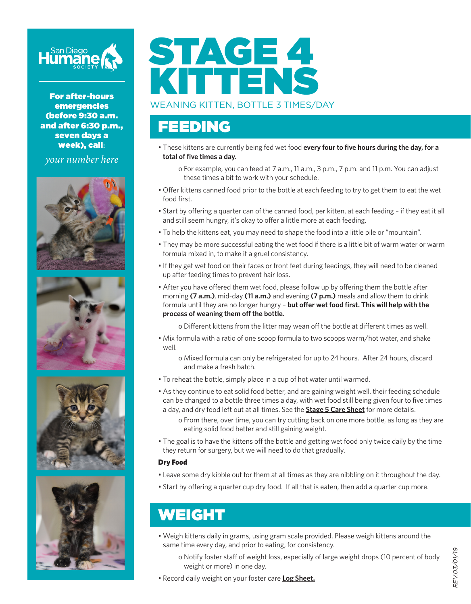

For after-hours emergencies (before 9:30 a.m. and after 6:30 p.m., seven days a week), call**:**

*your number here*









# STAGE 4 KITTENS

#### WEANING KITTEN, BOTTLE 3 TIMES/DAY

#### FEEDING

• These kittens are currently being fed wet food **every four to five hours during the day, for a total of five times a day.**

o For example, you can feed at 7 a.m., 11 a.m., 3 p.m., 7 p.m. and 11 p.m. You can adjust these times a bit to work with your schedule.

- Offer kittens canned food prior to the bottle at each feeding to try to get them to eat the wet food first.
- Start by offering a quarter can of the canned food, per kitten, at each feeding if they eat it all and still seem hungry, it's okay to offer a little more at each feeding.
- To help the kittens eat, you may need to shape the food into a little pile or "mountain".
- They may be more successful eating the wet food if there is a little bit of warm water or warm formula mixed in, to make it a gruel consistency.
- If they get wet food on their faces or front feet during feedings, they will need to be cleaned up after feeding times to prevent hair loss.
- After you have offered them wet food, please follow up by offering them the bottle after morning **(7 a.m.)**, mid-day **(11 a.m.)** and evening **(7 p.m.)** meals and allow them to drink formula until they are no longer hungry – **but offer wet food first. This will help with the process of weaning them off the bottle.**

o Different kittens from the litter may wean off the bottle at different times as well.

- Mix formula with a ratio of one scoop formula to two scoops warm/hot water, and shake well.
	- o Mixed formula can only be refrigerated for up to 24 hours. After 24 hours, discard and make a fresh batch.
- To reheat the bottle, simply place in a cup of hot water until warmed.
- As they continue to eat solid food better, and are gaining weight well, their feeding schedule can be changed to a bottle three times a day, with wet food still being given four to five times a day, and dry food left out at all times. See the **Stage 5 Care Sheet** for more details.
	- o From there, over time, you can try cutting back on one more bottle, as long as they are eating solid food better and still gaining weight.
- The goal is to have the kittens off the bottle and getting wet food only twice daily by the time they return for surgery, but we will need to do that gradually.

#### Dry Food

- Leave some dry kibble out for them at all times as they are nibbling on it throughout the day.
- Start by offering a quarter cup dry food. If all that is eaten, then add a quarter cup more.

### WEIGHT

- Weigh kittens daily in grams, using gram scale provided. Please weigh kittens around the same time every day, and prior to eating, for consistency.
	- o Notify foster staff of weight loss, especially of large weight drops (10 percent of body weight or more) in one day.
- Record daily weight on your foster care **Log Sheet.**